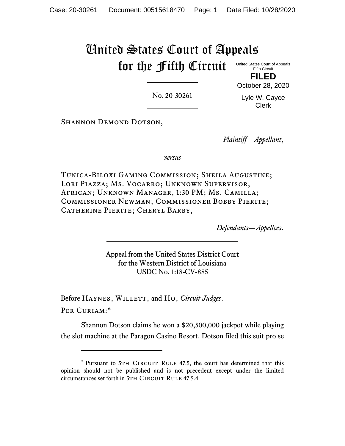# United States Court of Appeals for the Fifth Circuit

United States Court of Appeals Fifth Circuit **FILED**

No. 20-30261

Lyle W. Cayce Clerk

October 28, 2020

SHANNON DEMOND DOTSON,

*Plaintiff—Appellant*,

*versus*

Tunica-Biloxi Gaming Commission; Sheila Augustine; Lori Piazza; Ms. Vocarro; Unknown Supervisor, African; Unknown Manager, 1:30 PM; Ms. Camilla; Commissioner Newman; Commissioner Bobby Pierite; CATHERINE PIERITE; CHERYL BARBY,

*Defendants—Appellees*.

Appeal from the United States District Court for the Western District of Louisiana USDC No. 1:18-CV-885

Before HAYNES, WILLETT, and Ho, *Circuit Judges*.

Per Curiam:\*

Shannon Dotson claims he won a \$20,500,000 jackpot while playing the slot machine at the Paragon Casino Resort. Dotson filed this suit pro se

<sup>\*</sup> Pursuant to 5TH CIRCUIT RULE 47.5, the court has determined that this opinion should not be published and is not precedent except under the limited circumstances set forth in 5TH CIRCUIT RULE 47.5.4.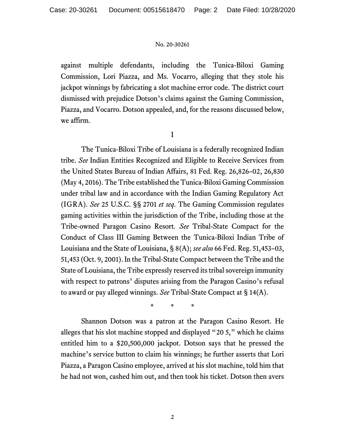against multiple defendants, including the Tunica-Biloxi Gaming Commission, Lori Piazza, and Ms. Vocarro, alleging that they stole his jackpot winnings by fabricating a slot machine error code. The district court dismissed with prejudice Dotson's claims against the Gaming Commission, Piazza, and Vocarro. Dotson appealed, and, for the reasons discussed below, we affirm.

I

The Tunica-Biloxi Tribe of Louisiana is a federally recognized Indian tribe. *See* Indian Entities Recognized and Eligible to Receive Services from the United States Bureau of Indian Affairs, 81 Fed. Reg. 26,826–02, 26,830 (May 4, 2016). The Tribe established the Tunica-Biloxi Gaming Commission under tribal law and in accordance with the Indian Gaming Regulatory Act (IGRA). *See* 25 U.S.C. §§ 2701 *et seq*. The Gaming Commission regulates gaming activities within the jurisdiction of the Tribe, including those at the Tribe-owned Paragon Casino Resort*. See* Tribal-State Compact for the Conduct of Class III Gaming Between the Tunica-Biloxi Indian Tribe of Louisiana and the State of Louisiana, § 8(A); *see also* 66 Fed. Reg. 51,453–03, 51,453 (Oct. 9, 2001). In the Tribal-State Compact between the Tribe and the State of Louisiana, the Tribe expressly reserved its tribal sovereign immunity with respect to patrons' disputes arising from the Paragon Casino's refusal to award or pay alleged winnings. *See* Tribal-State Compact at § 14(A).

\* \* \*

Shannon Dotson was a patron at the Paragon Casino Resort. He alleges that his slot machine stopped and displayed "20 5," which he claims entitled him to a \$20,500,000 jackpot. Dotson says that he pressed the machine's service button to claim his winnings; he further asserts that Lori Piazza, a Paragon Casino employee, arrived at his slot machine, told him that he had not won, cashed him out, and then took his ticket. Dotson then avers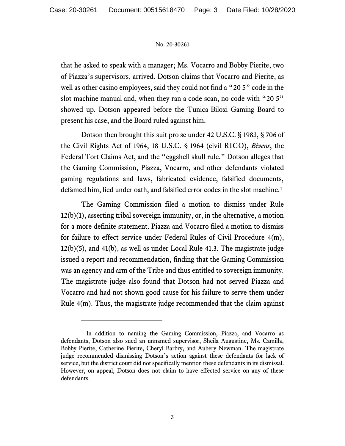that he asked to speak with a manager; Ms. Vocarro and Bobby Pierite, two of Piazza's supervisors, arrived. Dotson claims that Vocarro and Pierite, as well as other casino employees, said they could not find a "20 5" code in the slot machine manual and, when they ran a code scan, no code with "20 5" showed up. Dotson appeared before the Tunica-Biloxi Gaming Board to present his case, and the Board ruled against him.

Dotson then brought this suit pro se under 42 U.S.C. § 1983, § 706 of the Civil Rights Act of 1964, 18 U.S.C. § 1964 (civil RICO), *Bivens*, the Federal Tort Claims Act, and the "eggshell skull rule." Dotson alleges that the Gaming Commission, Piazza, Vocarro, and other defendants violated gaming regulations and laws, fabricated evidence, falsified documents, defamed him, lied under oath, and falsified error codes in the slot machine.**<sup>1</sup>**

The Gaming Commission filed a motion to dismiss under Rule 12(b)(1), asserting tribal sovereign immunity, or, in the alternative, a motion for a more definite statement. Piazza and Vocarro filed a motion to dismiss for failure to effect service under Federal Rules of Civil Procedure 4(m), 12(b)(5), and 41(b), as well as under Local Rule 41.3. The magistrate judge issued a report and recommendation, finding that the Gaming Commission was an agency and arm of the Tribe and thus entitled to sovereign immunity. The magistrate judge also found that Dotson had not served Piazza and Vocarro and had not shown good cause for his failure to serve them under Rule 4(m). Thus, the magistrate judge recommended that the claim against

<sup>&</sup>lt;sup>1</sup> In addition to naming the Gaming Commission, Piazza, and Vocarro as defendants, Dotson also sued an unnamed supervisor, Sheila Augustine, Ms. Camilla, Bobby Pierite, Catherine Pierite, Cheryl Barbry, and Aubery Newman. The magistrate judge recommended dismissing Dotson's action against these defendants for lack of service, but the district court did not specifically mention these defendants in its dismissal. However, on appeal, Dotson does not claim to have effected service on any of these defendants.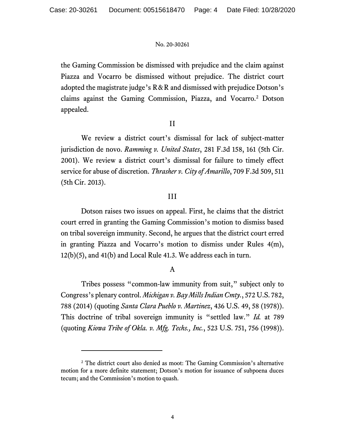the Gaming Commission be dismissed with prejudice and the claim against Piazza and Vocarro be dismissed without prejudice. The district court adopted the magistrate judge's R&R and dismissed with prejudice Dotson's claims against the Gaming Commission, Piazza, and Vocarro.<sup>2</sup> Dotson appealed.

## II

We review a district court's dismissal for lack of subject-matter jurisdiction de novo. *Ramming v. United States*, 281 F.3d 158, 161 (5th Cir. 2001). We review a district court's dismissal for failure to timely effect service for abuse of discretion. *Thrasher v. City of Amarillo*, 709 F.3d 509, 511 (5th Cir. 2013).

# III

Dotson raises two issues on appeal. First, he claims that the district court erred in granting the Gaming Commission's motion to dismiss based on tribal sovereign immunity. Second, he argues that the district court erred in granting Piazza and Vocarro's motion to dismiss under Rules 4(m), 12(b)(5), and 41(b) and Local Rule 41.3. We address each in turn.

# A

Tribes possess "common-law immunity from suit," subject only to Congress's plenary control. *Michigan v. Bay Mills Indian Cmty.*, 572 U.S. 782, 788 (2014) (quoting *Santa Clara Pueblo v. Martinez*, 436 U.S. 49, 58 (1978)). This doctrine of tribal sovereign immunity is "settled law." *Id.* at 789 (quoting *Kiowa Tribe of Okla. v. Mfg. Techs., Inc.*, 523 U.S. 751, 756 (1998)).

<sup>&</sup>lt;sup>2</sup> The district court also denied as moot: The Gaming Commission's alternative motion for a more definite statement; Dotson's motion for issuance of subpoena duces tecum; and the Commission's motion to quash.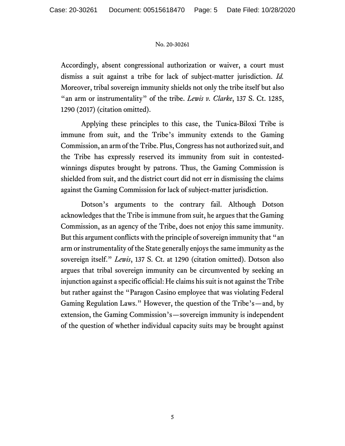Accordingly, absent congressional authorization or waiver, a court must dismiss a suit against a tribe for lack of subject-matter jurisdiction. *Id.*  Moreover, tribal sovereign immunity shields not only the tribe itself but also "an arm or instrumentality" of the tribe. *Lewis v. Clarke*, 137 S. Ct. 1285, 1290 (2017) (citation omitted).

Applying these principles to this case, the Tunica-Biloxi Tribe is immune from suit, and the Tribe's immunity extends to the Gaming Commission, an arm of the Tribe. Plus, Congress has not authorized suit, and the Tribe has expressly reserved its immunity from suit in contestedwinnings disputes brought by patrons. Thus, the Gaming Commission is shielded from suit, and the district court did not err in dismissing the claims against the Gaming Commission for lack of subject-matter jurisdiction.

Dotson's arguments to the contrary fail. Although Dotson acknowledges that the Tribe is immune from suit, he argues that the Gaming Commission, as an agency of the Tribe, does not enjoy this same immunity. But this argument conflicts with the principle of sovereign immunity that "an arm or instrumentality of the State generally enjoys the same immunity as the sovereign itself." *Lewis*, 137 S. Ct. at 1290 (citation omitted). Dotson also argues that tribal sovereign immunity can be circumvented by seeking an injunction against a specific official: He claims his suit is not against the Tribe but rather against the "Paragon Casino employee that was violating Federal Gaming Regulation Laws." However, the question of the Tribe's—and, by extension, the Gaming Commission's—sovereign immunity is independent of the question of whether individual capacity suits may be brought against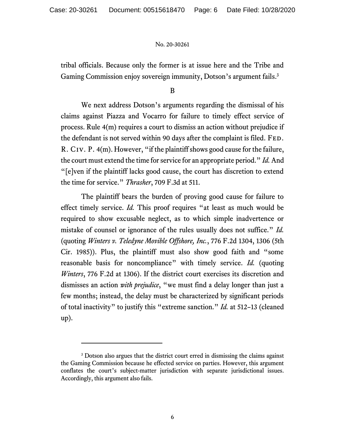tribal officials. Because only the former is at issue here and the Tribe and Gaming Commission enjoy sovereign immunity, Dotson's argument fails.<sup>3</sup>

## B

We next address Dotson's arguments regarding the dismissal of his claims against Piazza and Vocarro for failure to timely effect service of process. Rule 4(m) requires a court to dismiss an action without prejudice if the defendant is not served within 90 days after the complaint is filed. Fed. R. Civ. P. 4(m). However, "if the plaintiff shows good cause for the failure, the court must extend the time for service for an appropriate period." *Id.*And "[e]ven if the plaintiff lacks good cause, the court has discretion to extend the time for service." *Thrasher*, 709 F.3d at 511.

The plaintiff bears the burden of proving good cause for failure to effect timely service. *Id.* This proof requires "at least as much would be required to show excusable neglect, as to which simple inadvertence or mistake of counsel or ignorance of the rules usually does not suffice." *Id.*  (quoting *Winters v. Teledyne Movible Offshore, Inc.*, 776 F.2d 1304, 1306 (5th Cir. 1985)). Plus, the plaintiff must also show good faith and "some reasonable basis for noncompliance" with timely service. *Id.* (quoting *Winters*, 776 F.2d at 1306). If the district court exercises its discretion and dismisses an action *with prejudice*, "we must find a delay longer than just a few months; instead, the delay must be characterized by significant periods of total inactivity" to justify this "extreme sanction." *Id.* at 512–13 (cleaned up).

<sup>&</sup>lt;sup>3</sup> Dotson also argues that the district court erred in dismissing the claims against the Gaming Commission because he effected service on parties. However, this argument conflates the court's subject-matter jurisdiction with separate jurisdictional issues. Accordingly, this argument also fails.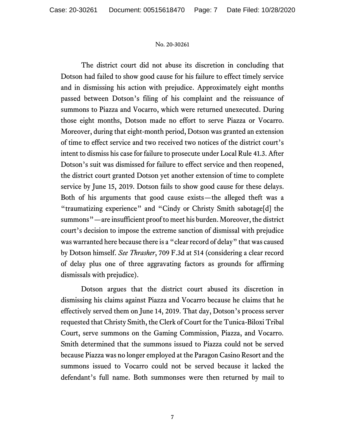The district court did not abuse its discretion in concluding that Dotson had failed to show good cause for his failure to effect timely service and in dismissing his action with prejudice. Approximately eight months passed between Dotson's filing of his complaint and the reissuance of summons to Piazza and Vocarro, which were returned unexecuted. During those eight months, Dotson made no effort to serve Piazza or Vocarro. Moreover, during that eight-month period, Dotson was granted an extension of time to effect service and two received two notices of the district court's intent to dismiss his case for failure to prosecute under Local Rule 41.3. After Dotson's suit was dismissed for failure to effect service and then reopened, the district court granted Dotson yet another extension of time to complete service by June 15, 2019. Dotson fails to show good cause for these delays. Both of his arguments that good cause exists—the alleged theft was a "traumatizing experience" and "Cindy or Christy Smith sabotage[d] the summons"—are insufficient proof to meet his burden. Moreover, the district court's decision to impose the extreme sanction of dismissal with prejudice was warranted here because there is a "clear record of delay" that was caused by Dotson himself. *See Thrasher*, 709 F.3d at 514 (considering a clear record of delay plus one of three aggravating factors as grounds for affirming dismissals with prejudice).

Dotson argues that the district court abused its discretion in dismissing his claims against Piazza and Vocarro because he claims that he effectively served them on June 14, 2019. That day, Dotson's process server requested that Christy Smith, the Clerk of Court for the Tunica-Biloxi Tribal Court, serve summons on the Gaming Commission, Piazza, and Vocarro. Smith determined that the summons issued to Piazza could not be served because Piazza was no longer employed at the Paragon Casino Resort and the summons issued to Vocarro could not be served because it lacked the defendant's full name. Both summonses were then returned by mail to